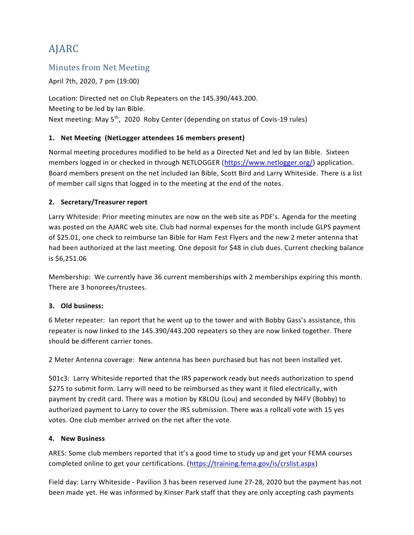# AJARC

### Minutes from Net Meeting

April 7th, 2020, 7 pm (19:00)

Location: Directed net on Club Repeaters on the 145.390/443.200. Meeting to be led by Ian Bible. Next meeting: May 5<sup>th</sup>, 2020 Roby Center (depending on status of Covis-19 rules)

#### **1. Net Meeting (NetLogger attendees 16 members present)**

Normal meeting procedures modified to be held as a Directed Net and led by Ian Bible. Sixteen members logged in or checked in through NETLOGGER [\(https://www.netlogger.org/\)](https://www.netlogger.org/) application. Board members present on the net included Ian Bible, Scott Bird and Larry Whiteside. There is a list of member call signs that logged in to the meeting at the end of the notes.

#### **2. Secretary/Treasurer report**

Larry Whiteside: Prior meeting minutes are now on the web site as PDF's. Agenda for the meeting was posted on the AJARC web site. Club had normal expenses for the month include GLPS payment of \$25.01, one check to reimburse Ian Bible for Ham Fest Flyers and the new 2 meter antenna that had been authorized at the last meeting. One deposit for \$48 in club dues. Current checking balance is \$6,251.06

Membership: We currently have 36 current memberships with 2 memberships expiring this month. There are 3 honorees/trustees.

#### **3. Old business:**

6 Meter repeater: Ian report that he went up to the tower and with Bobby Gass's assistance, this repeater is now linked to the 145.390/443.200 repeaters so they are now linked together. There should be different carrier tones.

2 Meter Antenna coverage: New antenna has been purchased but has not been installed yet.

501c3: Larry Whiteside reported that the IRS paperwork ready but needs authorization to spend \$275 to submit form. Larry will need to be reimbursed as they want it filed electrically, with payment by credit card. There was a motion by K8LOU (Lou) and seconded by N4FV (Bobby) to authorized payment to Larry to cover the IRS submission. There was a rollcall vote with 15 yes votes. One club member arrived on the net after the vote.

#### **4. New Business**

ARES: Some club members reported that it's a good time to study up and get your FEMA courses completed online to get your certifications. [\(https://training.fema.gov/is/crslist.aspx\)](https://training.fema.gov/is/crslist.aspx)

Field day: Larry Whiteside - Pavilion 3 has been reserved June 27-28, 2020 but the payment has not been made yet. He was informed by Kinser Park staff that they are only accepting cash payments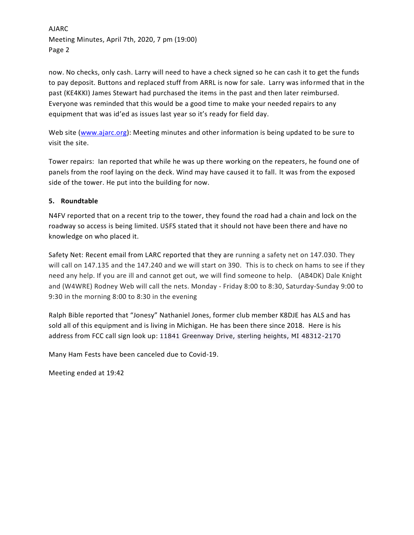AJARC Meeting Minutes, April 7th, 2020, 7 pm (19:00) Page 2

now. No checks, only cash. Larry will need to have a check signed so he can cash it to get the funds to pay deposit. Buttons and replaced stuff from ARRL is now for sale. Larry was informed that in the past (KE4KKI) James Stewart had purchased the items in the past and then later reimbursed. Everyone was reminded that this would be a good time to make your needed repairs to any equipment that was id'ed as issues last year so it's ready for field day.

Web site [\(www.ajarc.org\)](file:///C:/Users/Whiteside/Documents/AJARC/final%20meeting%20minutes/www.ajarc.org): Meeting minutes and other information is being updated to be sure to visit the site.

Tower repairs: Ian reported that while he was up there working on the repeaters, he found one of panels from the roof laying on the deck. Wind may have caused it to fall. It was from the exposed side of the tower. He put into the building for now.

#### **5. Roundtable**

N4FV reported that on a recent trip to the tower, they found the road had a chain and lock on the roadway so access is being limited. USFS stated that it should not have been there and have no knowledge on who placed it.

Safety Net: Recent email from LARC reported that they are running a safety net on 147.030. They will call on 147.135 and the 147.240 and we will start on 390. This is to check on hams to see if they need any help. If you are ill and cannot get out, we will find someone to help. (AB4DK) Dale Knight and (W4WRE) Rodney Web will call the nets. Monday - Friday 8:00 to 8:30, Saturday-Sunday 9:00 to 9:30 in the morning 8:00 to 8:30 in the evening

Ralph Bible reported that "Jonesy" Nathaniel Jones, former club member K8DJE has ALS and has sold all of this equipment and is living in Michigan. He has been there since 2018. Here is his address from FCC call sign look up: 11841 Greenway Drive, sterling heights, MI 48312-2170

Many Ham Fests have been canceled due to Covid-19.

Meeting ended at 19:42